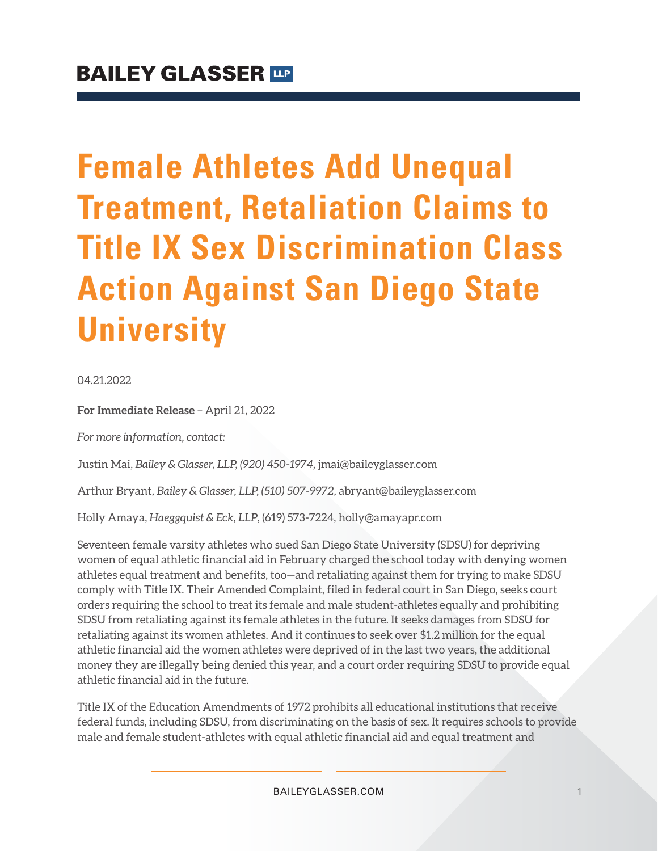# **Female Athletes Add Unequal Treatment, Retaliation Claims to Title IX Sex Discrimination Class Action Against San Diego State University**

04.21.2022

**For Immediate Release** – April 21, 2022

*For more information, contact:*

Justin Mai*, Bailey & Glasser, LLP, (920) 450-1974,* jmai@baileyglasser.com

Arthur Bryant*, Bailey & Glasser, LLP, (510) 507-9972,* abryant@baileyglasser.com

Holly Amaya, *Haeggquist & Eck, LLP*, (619) 573-7224, holly@amayapr.com

Seventeen female varsity athletes who sued San Diego State University (SDSU) for depriving women of equal athletic financial aid in February charged the school today with denying women athletes equal treatment and benefits, too—and retaliating against them for trying to make SDSU comply with Title IX. Their Amended Complaint, filed in federal court in San Diego, seeks court orders requiring the school to treat its female and male student-athletes equally and prohibiting SDSU from retaliating against its female athletes in the future. It seeks damages from SDSU for retaliating against its women athletes. And it continues to seek over \$1.2 million for the equal athletic financial aid the women athletes were deprived of in the last two years, the additional money they are illegally being denied this year, and a court order requiring SDSU to provide equal athletic financial aid in the future.

Title IX of the Education Amendments of 1972 prohibits all educational institutions that receive federal funds, including SDSU, from discriminating on the basis of sex. It requires schools to provide male and female student-athletes with equal athletic financial aid and equal treatment and

BAILEYGLASSER.COM 1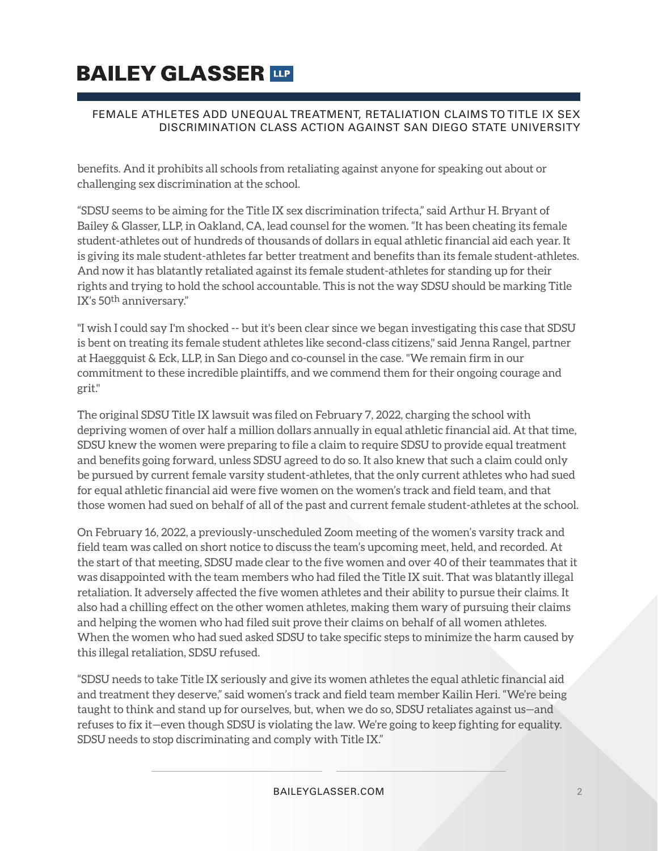## **BAILEY GLASSER TOP**

#### FEMALE ATHLETES ADD UNEQUAL TREATMENT, RETALIATION CLAIMS TO TITLE IX SEX DISCRIMINATION CLASS ACTION AGAINST SAN DIEGO STATE UNIVERSITY

benefits. And it prohibits all schools from retaliating against anyone for speaking out about or challenging sex discrimination at the school.

"SDSU seems to be aiming for the Title IX sex discrimination trifecta," said Arthur H. Bryant of Bailey & Glasser, LLP, in Oakland, CA, lead counsel for the women. "It has been cheating its female student-athletes out of hundreds of thousands of dollars in equal athletic financial aid each year. It is giving its male student-athletes far better treatment and benefits than its female student-athletes. And now it has blatantly retaliated against its female student-athletes for standing up for their rights and trying to hold the school accountable. This is not the way SDSU should be marking Title IX's 50th anniversary."

"I wish I could say I'm shocked -- but it's been clear since we began investigating this case that SDSU is bent on treating its female student athletes like second-class citizens," said Jenna Rangel, partner at Haeggquist & Eck, LLP, in San Diego and co-counsel in the case. "We remain firm in our commitment to these incredible plaintiffs, and we commend them for their ongoing courage and grit."

The original SDSU Title IX lawsuit was filed on February 7, 2022, charging the school with depriving women of over half a million dollars annually in equal athletic financial aid. At that time, SDSU knew the women were preparing to file a claim to require SDSU to provide equal treatment and benefits going forward, unless SDSU agreed to do so. It also knew that such a claim could only be pursued by current female varsity student-athletes, that the only current athletes who had sued for equal athletic financial aid were five women on the women's track and field team, and that those women had sued on behalf of all of the past and current female student-athletes at the school.

On February 16, 2022, a previously-unscheduled Zoom meeting of the women's varsity track and field team was called on short notice to discuss the team's upcoming meet, held, and recorded. At the start of that meeting, SDSU made clear to the five women and over 40 of their teammates that it was disappointed with the team members who had filed the Title IX suit. That was blatantly illegal retaliation. It adversely affected the five women athletes and their ability to pursue their claims. It also had a chilling effect on the other women athletes, making them wary of pursuing their claims and helping the women who had filed suit prove their claims on behalf of all women athletes. When the women who had sued asked SDSU to take specific steps to minimize the harm caused by this illegal retaliation, SDSU refused.

"SDSU needs to take Title IX seriously and give its women athletes the equal athletic financial aid and treatment they deserve," said women's track and field team member Kailin Heri. "We're being taught to think and stand up for ourselves, but, when we do so, SDSU retaliates against us—and refuses to fix it—even though SDSU is violating the law. We're going to keep fighting for equality. SDSU needs to stop discriminating and comply with Title IX."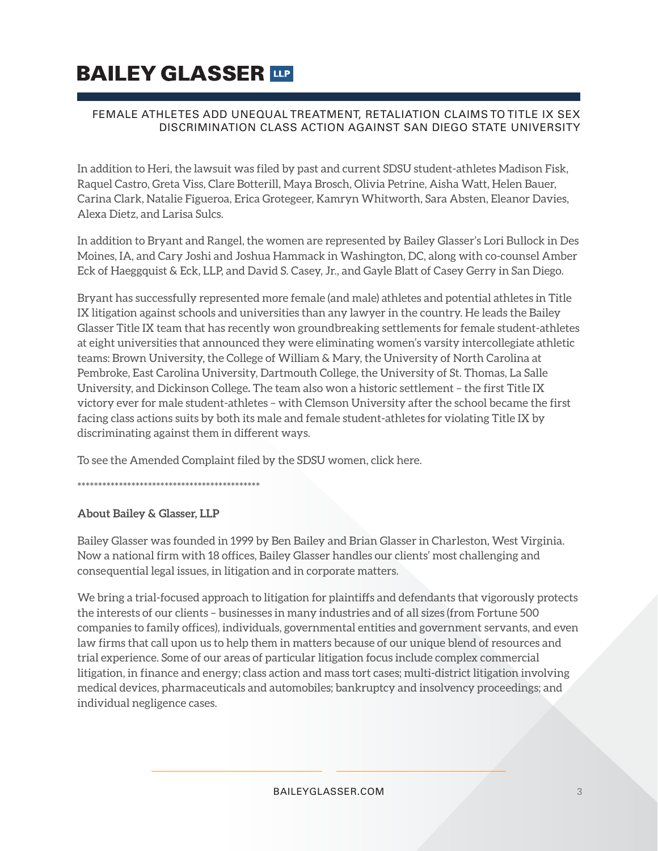### **BAILEY GLASSER TIP**

#### FEMALE ATHLETES ADD UNEQUAL TREATMENT, RETALIATION CLAIMS TO TITLE IX SEX DISCRIMINATION CLASS ACTION AGAINST SAN DIEGO STATE UNIVERSITY

In addition to Heri, the lawsuit was filed by past and current SDSU student-athletes Madison Fisk, Raquel Castro, Greta Viss, Clare Botterill, Maya Brosch, Olivia Petrine, Aisha Watt, Helen Bauer, Carina Clark, Natalie Figueroa, Erica Grotegeer, Kamryn Whitworth, Sara Absten, Eleanor Davies, Alexa Dietz, and Larisa Sulcs.

In addition to Bryant and Rangel, the women are represented by Bailey Glasser's Lori Bullock in Des Moines, IA, and Cary Joshi and Joshua Hammack in Washington, DC, along with co-counsel Amber Eck of Haeggquist & Eck, LLP, and David S. Casey, Jr., and Gayle Blatt of Casey Gerry in San Diego.

Bryant has successfully represented more female (and male) athletes and potential athletes in Title IX litigation against schools and universities than any lawyer in the country. He leads the Bailey Glasser Title IX team that has recently won groundbreaking settlements for female student-athletes at eight universities that announced they were eliminating women's varsity intercollegiate athletic teams: Brown University, the College of William & Mary, the University of North Carolina at Pembroke, East Carolina University, Dartmouth College, the University of St. Thomas, La Salle University, and Dickinson College**.** The team also won a historic settlement – the first Title IX victory ever for male student-athletes – with Clemson University after the school became the first facing class actions suits by both its male and female student-athletes for violating Title IX by discriminating against them in different ways.

To see the Amended Complaint filed by the SDSU women, click here.

\*\*\*\*\*\*\*\*\*\*\*\*\*\*\*\*\*\*\*\*\*\*\*\*\*\*\*\*\*\*\*\*\*\*\*\*\*\*\*\*\*\*\*\*

#### **About Bailey & Glasser, LLP**

Bailey Glasser was founded in 1999 by Ben Bailey and Brian Glasser in Charleston, West Virginia. Now a national firm with 18 offices, Bailey Glasser handles our clients' most challenging and consequential legal issues, in litigation and in corporate matters.

We bring a trial-focused approach to litigation for plaintiffs and defendants that vigorously protects the interests of our clients – businesses in many industries and of all sizes (from Fortune 500 companies to family offices), individuals, governmental entities and government servants, and even law firms that call upon us to help them in matters because of our unique blend of resources and trial experience. Some of our areas of particular litigation focus include complex commercial litigation, in finance and energy; class action and mass tort cases; multi-district litigation involving medical devices, pharmaceuticals and automobiles; bankruptcy and insolvency proceedings; and individual negligence cases.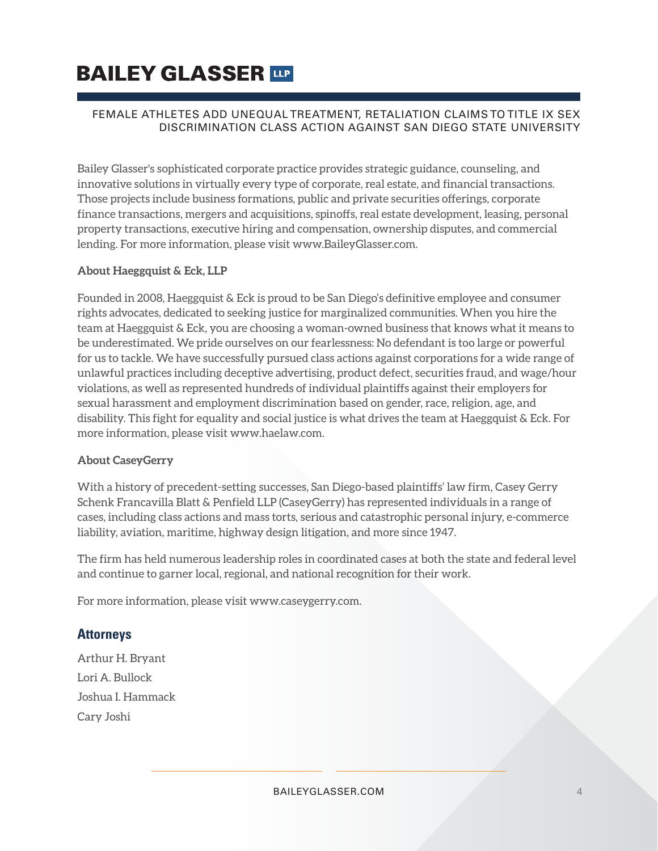## **BAILEY GLASSER TIP**

#### FEMALE ATHLETES ADD UNEQUAL TREATMENT, RETALIATION CLAIMS TO TITLE IX SEX DISCRIMINATION CLASS ACTION AGAINST SAN DIEGO STATE UNIVERSITY

Bailey Glasser's sophisticated corporate practice provides strategic guidance, counseling, and innovative solutions in virtually every type of corporate, real estate, and financial transactions. Those projects include business formations, public and private securities offerings, corporate finance transactions, mergers and acquisitions, spinoffs, real estate development, leasing, personal property transactions, executive hiring and compensation, ownership disputes, and commercial lending. For more information, please visit www.BaileyGlasser.com.

#### **About Haeggquist & Eck, LLP**

Founded in 2008, Haeggquist & Eck is proud to be San Diego's definitive employee and consumer rights advocates, dedicated to seeking justice for marginalized communities. When you hire the team at Haeggquist & Eck, you are choosing a woman-owned business that knows what it means to be underestimated. We pride ourselves on our fearlessness: No defendant is too large or powerful for us to tackle. We have successfully pursued class actions against corporations for a wide range of unlawful practices including deceptive advertising, product defect, securities fraud, and wage/hour violations, as well as represented hundreds of individual plaintiffs against their employers for sexual harassment and employment discrimination based on gender, race, religion, age, and disability. This fight for equality and social justice is what drives the team at Haeggquist & Eck. For more information, please visit www.haelaw.com.

#### **About CaseyGerry**

With a history of precedent-setting successes, San Diego-based plaintiffs' law firm, Casey Gerry Schenk Francavilla Blatt & Penfield LLP (CaseyGerry) has represented individuals in a range of cases, including class actions and mass torts, serious and catastrophic personal injury, e-commerce liability, aviation, maritime, highway design litigation, and more since 1947.

The firm has held numerous leadership roles in coordinated cases at both the state and federal level and continue to garner local, regional, and national recognition for their work.

For more information, please visit www.caseygerry.com.

#### **Attorneys**

Arthur H. Bryant Lori A. Bullock Joshua I. Hammack Cary Joshi